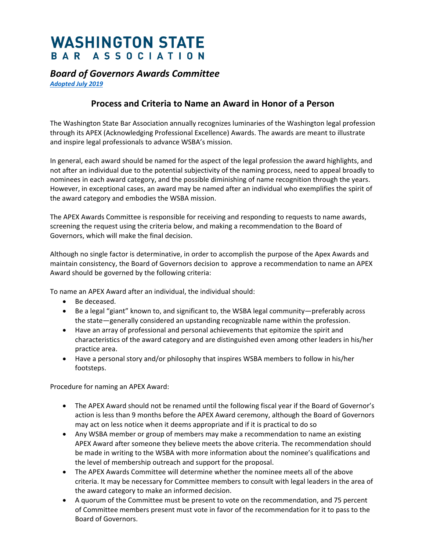## **WASHINGTON STATE** BAR ASSOCIATION

## *Board of Governors Awards Committee*

*[Adopted July 2019](https://www.wsba.org/docs/default-source/about-wsba/governance/bog-meeting-materials-2018-2019/july2019bogmeetingminutes.pdf?sfvrsn=5ea50ff1_8)*

## **Process and Criteria to Name an Award in Honor of a Person**

The Washington State Bar Association annually recognizes luminaries of the Washington legal profession through its APEX (Acknowledging Professional Excellence) Awards. The awards are meant to illustrate and inspire legal professionals to advance WSBA's mission.

In general, each award should be named for the aspect of the legal profession the award highlights, and not after an individual due to the potential subjectivity of the naming process, need to appeal broadly to nominees in each award category, and the possible diminishing of name recognition through the years. However, in exceptional cases, an award may be named after an individual who exemplifies the spirit of the award category and embodies the WSBA mission.

The APEX Awards Committee is responsible for receiving and responding to requests to name awards, screening the request using the criteria below, and making a recommendation to the Board of Governors, which will make the final decision.

Although no single factor is determinative, in order to accomplish the purpose of the Apex Awards and maintain consistency, the Board of Governors decision to approve a recommendation to name an APEX Award should be governed by the following criteria:

To name an APEX Award after an individual, the individual should:

- Be deceased.
- Be a legal "giant" known to, and significant to, the WSBA legal community—preferably across the state—generally considered an upstanding recognizable name within the profession.
- Have an array of professional and personal achievements that epitomize the spirit and characteristics of the award category and are distinguished even among other leaders in his/her practice area.
- Have a personal story and/or philosophy that inspires WSBA members to follow in his/her footsteps.

Procedure for naming an APEX Award:

- The APEX Award should not be renamed until the following fiscal year if the Board of Governor's action is less than 9 months before the APEX Award ceremony, although the Board of Governors may act on less notice when it deems appropriate and if it is practical to do so
- Any WSBA member or group of members may make a recommendation to name an existing APEX Award after someone they believe meets the above criteria. The recommendation should be made in writing to the WSBA with more information about the nominee's qualifications and the level of membership outreach and support for the proposal.
- The APEX Awards Committee will determine whether the nominee meets all of the above criteria. It may be necessary for Committee members to consult with legal leaders in the area of the award category to make an informed decision.
- A quorum of the Committee must be present to vote on the recommendation, and 75 percent of Committee members present must vote in favor of the recommendation for it to pass to the Board of Governors.